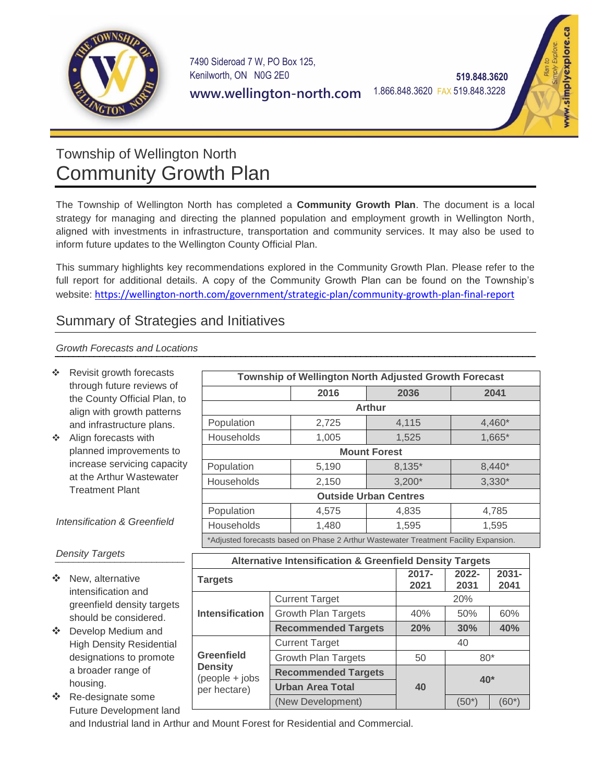

7490 Sideroad 7 W, PO Box 125, Kenilworth, ON N0G 2E0

**www.wellington-north.com**

1.866.848.3620 FAX 519.848.3228

 **519.848.3620**



# Township of Wellington North Community Growth Plan

The Township of Wellington North has completed a **Community Growth Plan**. The document is a local strategy for managing and directing the planned population and employment growth in Wellington North, aligned with investments in infrastructure, transportation and community services. It may also be used to inform future updates to the Wellington County Official Plan.

This summary highlights key recommendations explored in the Community Growth Plan. Please refer to the full report for additional details. A copy of the Community Growth Plan can be found on the Township's website: <https://wellington-north.com/government/strategic-plan/community-growth-plan-final-report>

# Summary of Strategies and Initiatives

*Growth Forecasts and Locations*

- $\div$  Revisit growth forecasts through future reviews of the County Official Plan, to align with growth patterns and infrastructure plans.
- ❖ Align forecasts with planned improvements to increase servicing capacity at the Arthur Wastewater Treatment Plant

*Intensification & Greenfield* 

| Township of Wellington North Adjusted Growth Forecast                                |       |          |          |  |  |
|--------------------------------------------------------------------------------------|-------|----------|----------|--|--|
|                                                                                      | 2016  | 2036     | 2041     |  |  |
| <b>Arthur</b>                                                                        |       |          |          |  |  |
| Population                                                                           | 2,725 | 4,115    | 4,460*   |  |  |
| Households                                                                           | 1,005 | 1,525    | 1,665*   |  |  |
| <b>Mount Forest</b>                                                                  |       |          |          |  |  |
| Population                                                                           | 5,190 | 8,135*   | 8,440*   |  |  |
| Households                                                                           | 2,150 | $3,200*$ | $3,330*$ |  |  |
| <b>Outside Urban Centres</b>                                                         |       |          |          |  |  |
| Population                                                                           | 4,575 | 4,835    | 4,785    |  |  |
| Households                                                                           | 1,480 | 1,595    | 1,595    |  |  |
| *Adjusted forecasts based on Phase 2 Arthur Wastewater Treatment Facility Expansion. |       |          |          |  |  |

| <b>Density Targets</b> |  |
|------------------------|--|
|------------------------|--|

- ❖ New, alternative intensification and greenfield density targets should be considered.
- Develop Medium and High Density Residential designations to promote a broader range of housing.
- ❖ Re-designate some Future Development land

| <b>Alternative Intensification &amp; Greenfield Density Targets</b> |                            |               |               |                  |  |  |
|---------------------------------------------------------------------|----------------------------|---------------|---------------|------------------|--|--|
| <b>Targets</b>                                                      |                            | 2017-<br>2021 | 2022-<br>2031 | $2031 -$<br>2041 |  |  |
| <b>Intensification</b>                                              | <b>Current Target</b>      | 20%           |               |                  |  |  |
|                                                                     | <b>Growth Plan Targets</b> | 40%           | 50%           | 60%              |  |  |
|                                                                     | <b>Recommended Targets</b> | 20%           | 30%           | 40%              |  |  |
| Greenfield<br><b>Density</b><br>$(people + jobs$<br>per hectare)    | <b>Current Target</b>      | 40            |               |                  |  |  |
|                                                                     | <b>Growth Plan Targets</b> | 50            | $80*$         |                  |  |  |
|                                                                     | <b>Recommended Targets</b> | 40            | $40*$         |                  |  |  |
|                                                                     | <b>Urban Area Total</b>    |               |               |                  |  |  |
|                                                                     | (New Development)          |               | (50*)         | (60*)            |  |  |

and Industrial land in Arthur and Mount Forest for Residential and Commercial.